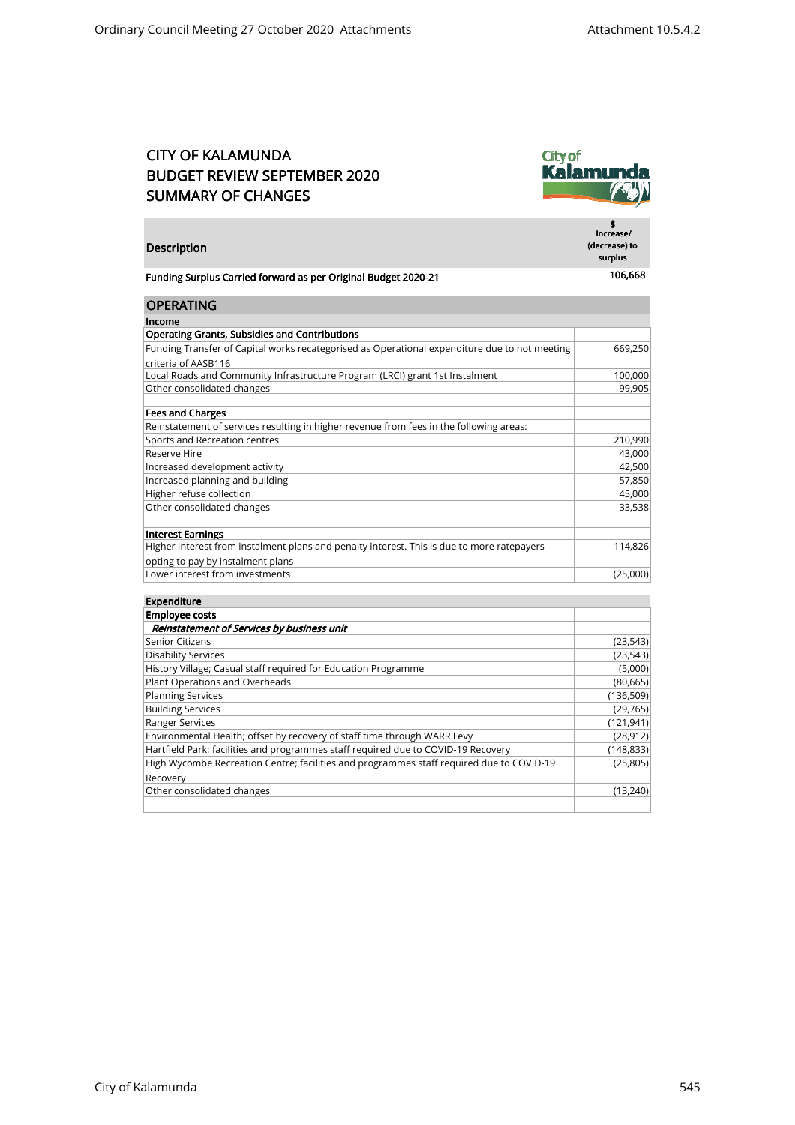## CITY OF KALAMUNDA BUDGET REVIEW SEPTEMBER 2020 SUMMARY OF CHANGES

Description



\$ Increase/ (decrease) to surplus

|  | Funding Surplus Carried forward as per Original Budget 2020-21 |  | 106,668 |
|--|----------------------------------------------------------------|--|---------|
|--|----------------------------------------------------------------|--|---------|

| <b>OPERATING</b>                                                                              |          |
|-----------------------------------------------------------------------------------------------|----------|
| Income                                                                                        |          |
| <b>Operating Grants, Subsidies and Contributions</b>                                          |          |
| Funding Transfer of Capital works recategorised as Operational expenditure due to not meeting | 669,250  |
| criteria of AASB116                                                                           |          |
| Local Roads and Community Infrastructure Program (LRCI) grant 1st Instalment                  | 100,000  |
| Other consolidated changes                                                                    | 99,905   |
|                                                                                               |          |
| <b>Fees and Charges</b>                                                                       |          |
| Reinstatement of services resulting in higher revenue from fees in the following areas:       |          |
| Sports and Recreation centres                                                                 | 210,990  |
| Reserve Hire                                                                                  | 43,000   |
| Increased development activity                                                                | 42,500   |
| Increased planning and building                                                               | 57,850   |
| Higher refuse collection                                                                      | 45,000   |
| Other consolidated changes                                                                    | 33,538   |
|                                                                                               |          |
| <b>Interest Earnings</b>                                                                      |          |
| Higher interest from instalment plans and penalty interest. This is due to more ratepayers    | 114,826  |
| opting to pay by instalment plans                                                             |          |
| Lower interest from investments                                                               | (25,000) |

| <b>Employee costs</b>                                                                    |            |
|------------------------------------------------------------------------------------------|------------|
| Reinstatement of Services by business unit                                               |            |
| Senior Citizens                                                                          | (23, 543)  |
| <b>Disability Services</b>                                                               | (23, 543)  |
| History Village; Casual staff required for Education Programme                           | (5,000)    |
| Plant Operations and Overheads                                                           | (80, 665)  |
| <b>Planning Services</b>                                                                 | (136, 509) |
| <b>Building Services</b>                                                                 | (29, 765)  |
| Ranger Services                                                                          | (121, 941) |
| Environmental Health; offset by recovery of staff time through WARR Levy                 | (28, 912)  |
| Hartfield Park; facilities and programmes staff required due to COVID-19 Recovery        | (148, 833) |
| High Wycombe Recreation Centre; facilities and programmes staff required due to COVID-19 | (25, 805)  |
| Recovery                                                                                 |            |
| Other consolidated changes                                                               | (13.240)   |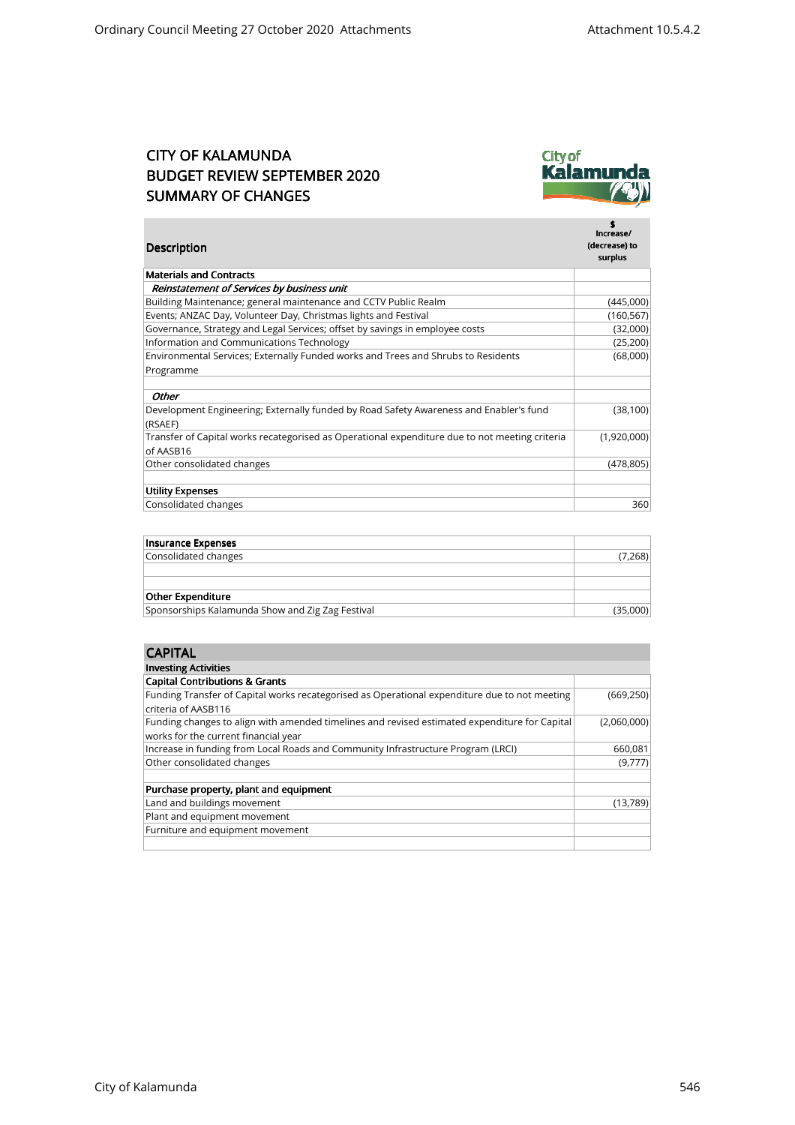## CITY OF KALAMUNDA BUDGET REVIEW SEPTEMBER 2020 SUMMARY OF CHANGES



| Description                                                                                    | \$<br>Increase/<br>(decrease) to<br>surplus |
|------------------------------------------------------------------------------------------------|---------------------------------------------|
| <b>Materials and Contracts</b>                                                                 |                                             |
| Reinstatement of Services by business unit                                                     |                                             |
| Building Maintenance; general maintenance and CCTV Public Realm                                | (445,000)                                   |
| Events; ANZAC Day, Volunteer Day, Christmas lights and Festival                                | (160, 567)                                  |
| Governance, Strategy and Legal Services; offset by savings in employee costs                   | (32,000)                                    |
| Information and Communications Technology                                                      | (25, 200)                                   |
| Environmental Services; Externally Funded works and Trees and Shrubs to Residents              | (68,000)                                    |
| Programme                                                                                      |                                             |
| Other                                                                                          |                                             |
| Development Engineering; Externally funded by Road Safety Awareness and Enabler's fund         | (38, 100)                                   |
| (RSAEF)                                                                                        |                                             |
| Transfer of Capital works recategorised as Operational expenditure due to not meeting criteria | (1,920,000)                                 |
| of AASB16                                                                                      |                                             |
| Other consolidated changes                                                                     | (478, 805)                                  |
|                                                                                                |                                             |
| <b>Utility Expenses</b>                                                                        |                                             |
| Consolidated changes                                                                           | 360                                         |

| Insurance Expenses                               |          |
|--------------------------------------------------|----------|
| Consolidated changes                             | (7,268)  |
|                                                  |          |
|                                                  |          |
| <b>Other Expenditure</b>                         |          |
| Sponsorships Kalamunda Show and Zig Zag Festival | (35,000) |
|                                                  |          |

| <b>CAPITAL</b>                                                                                |             |
|-----------------------------------------------------------------------------------------------|-------------|
| <b>Investing Activities</b>                                                                   |             |
| <b>Capital Contributions &amp; Grants</b>                                                     |             |
| Funding Transfer of Capital works recategorised as Operational expenditure due to not meeting | (669, 250)  |
| criteria of AASB116                                                                           |             |
| Funding changes to align with amended timelines and revised estimated expenditure for Capital | (2,060,000) |
| works for the current financial year                                                          |             |
| Increase in funding from Local Roads and Community Infrastructure Program (LRCI)              | 660,081     |
| Other consolidated changes                                                                    | (9,777)     |
|                                                                                               |             |
| Purchase property, plant and equipment                                                        |             |
| Land and buildings movement                                                                   | (13,789)    |
| Plant and equipment movement                                                                  |             |
| Furniture and equipment movement                                                              |             |
|                                                                                               |             |